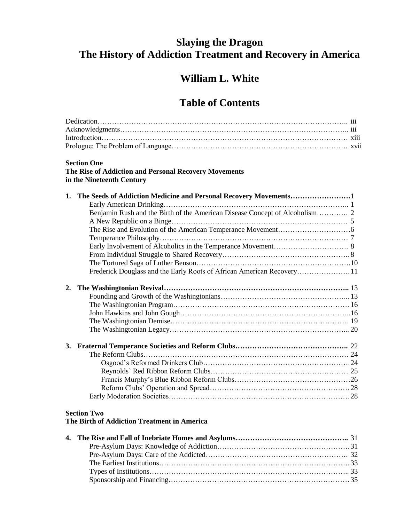## **Slaying the Dragon The History of Addiction Treatment and Recovery in America**

## **William L. White**

## **Table of Contents**

| <b>Section One</b>                                                                 |  |
|------------------------------------------------------------------------------------|--|
| The Rise of Addiction and Personal Recovery Movements<br>in the Nineteenth Century |  |
| 1.                                                                                 |  |
|                                                                                    |  |
|                                                                                    |  |
|                                                                                    |  |
|                                                                                    |  |
|                                                                                    |  |
|                                                                                    |  |
|                                                                                    |  |
|                                                                                    |  |
| Frederick Douglass and the Early Roots of African American Recovery11              |  |
| 2.                                                                                 |  |
|                                                                                    |  |
|                                                                                    |  |
|                                                                                    |  |
|                                                                                    |  |
|                                                                                    |  |
|                                                                                    |  |
|                                                                                    |  |
|                                                                                    |  |
|                                                                                    |  |
|                                                                                    |  |
|                                                                                    |  |
|                                                                                    |  |
|                                                                                    |  |
| <b>Section Two</b>                                                                 |  |
| The Birth of Addiction Treatment in America                                        |  |
|                                                                                    |  |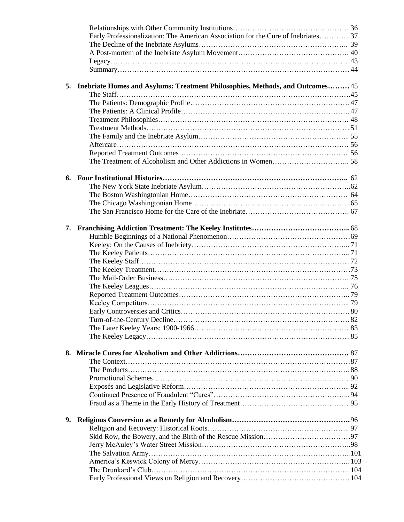|    | Early Professionalization: The American Association for the Cure of Inebriates 37 |  |
|----|-----------------------------------------------------------------------------------|--|
|    |                                                                                   |  |
|    |                                                                                   |  |
|    |                                                                                   |  |
|    |                                                                                   |  |
|    | 5. Inebriate Homes and Asylums: Treatment Philosophies, Methods, and Outcomes 45  |  |
|    |                                                                                   |  |
|    |                                                                                   |  |
|    |                                                                                   |  |
|    |                                                                                   |  |
|    |                                                                                   |  |
|    |                                                                                   |  |
|    |                                                                                   |  |
|    |                                                                                   |  |
|    |                                                                                   |  |
| 6. |                                                                                   |  |
|    |                                                                                   |  |
|    |                                                                                   |  |
|    |                                                                                   |  |
|    |                                                                                   |  |
|    |                                                                                   |  |
|    |                                                                                   |  |
|    |                                                                                   |  |
|    |                                                                                   |  |
|    |                                                                                   |  |
|    |                                                                                   |  |
|    |                                                                                   |  |
|    |                                                                                   |  |
|    |                                                                                   |  |
|    |                                                                                   |  |
|    |                                                                                   |  |
|    |                                                                                   |  |
|    |                                                                                   |  |
|    |                                                                                   |  |
|    |                                                                                   |  |
|    |                                                                                   |  |
|    |                                                                                   |  |
|    |                                                                                   |  |
|    |                                                                                   |  |
|    |                                                                                   |  |
|    |                                                                                   |  |
| 9. |                                                                                   |  |
|    |                                                                                   |  |
|    |                                                                                   |  |
|    |                                                                                   |  |
|    |                                                                                   |  |
|    |                                                                                   |  |
|    |                                                                                   |  |
|    |                                                                                   |  |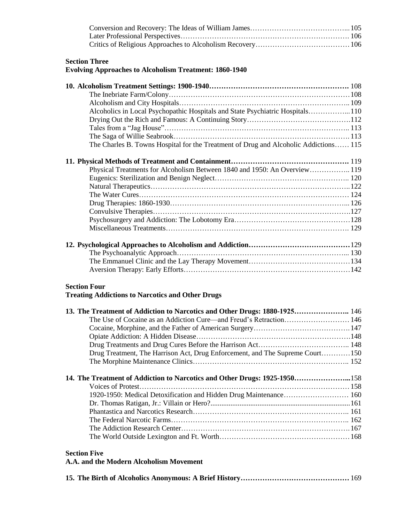| <b>Section Three</b><br><b>Evolving Approaches to Alcoholism Treatment: 1860-1940</b> |  |
|---------------------------------------------------------------------------------------|--|
|                                                                                       |  |
|                                                                                       |  |
|                                                                                       |  |
| Alcoholics in Local Psychopathic Hospitals and State Psychiatric Hospitals110         |  |
|                                                                                       |  |
|                                                                                       |  |
|                                                                                       |  |
| The Charles B. Towns Hospital for the Treatment of Drug and Alcoholic Addictions 115  |  |
|                                                                                       |  |
| Physical Treatments for Alcoholism Between 1840 and 1950: An Overview 119             |  |
|                                                                                       |  |
|                                                                                       |  |
|                                                                                       |  |
|                                                                                       |  |
|                                                                                       |  |
|                                                                                       |  |
|                                                                                       |  |
|                                                                                       |  |
|                                                                                       |  |
|                                                                                       |  |
|                                                                                       |  |
|                                                                                       |  |
| <b>Section Four</b>                                                                   |  |
| <b>Treating Addictions to Narcotics and Other Drugs</b>                               |  |
|                                                                                       |  |
| 13. The Treatment of Addiction to Narcotics and Other Drugs: 1880-1925 146            |  |
|                                                                                       |  |
|                                                                                       |  |
|                                                                                       |  |
|                                                                                       |  |
| Drug Treatment, The Harrison Act, Drug Enforcement, and The Supreme Court150          |  |
|                                                                                       |  |
| 14. The Treatment of Addiction to Narcotics and Other Drugs: 1925-1950158             |  |
|                                                                                       |  |
| 1920-1950: Medical Detoxification and Hidden Drug Maintenance 160                     |  |
|                                                                                       |  |
|                                                                                       |  |
|                                                                                       |  |
|                                                                                       |  |

|--|--|--|--|--|--|--|--|--|--|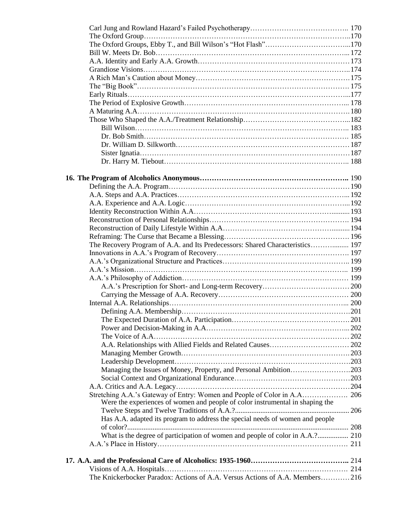| The Recovery Program of A.A. and Its Predecessors: Shared Characteristics 197 |  |
|-------------------------------------------------------------------------------|--|
|                                                                               |  |
|                                                                               |  |
|                                                                               |  |
|                                                                               |  |
|                                                                               |  |
|                                                                               |  |
|                                                                               |  |
|                                                                               |  |
|                                                                               |  |
|                                                                               |  |
|                                                                               |  |
|                                                                               |  |
|                                                                               |  |
|                                                                               |  |
| Managing the Issues of Money, Property, and Personal Ambition203              |  |
|                                                                               |  |
|                                                                               |  |
|                                                                               |  |
| Were the experiences of women and people of color instrumental in shaping the |  |
|                                                                               |  |
| Has A.A. adapted its program to address the special needs of women and people |  |
|                                                                               |  |
|                                                                               |  |
|                                                                               |  |
|                                                                               |  |
|                                                                               |  |
|                                                                               |  |
| The Knickerbocker Paradox: Actions of A.A. Versus Actions of A.A. Members216  |  |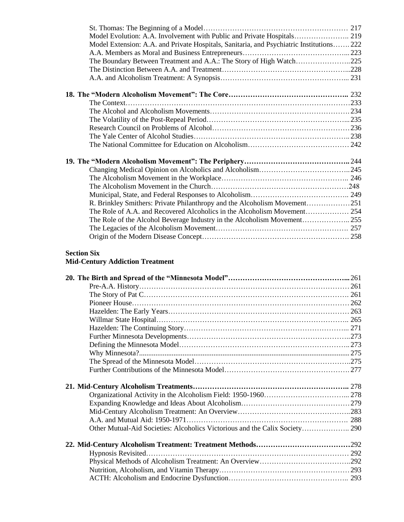| Model Evolution: A.A. Involvement with Public and Private Hospitals 219                  |  |
|------------------------------------------------------------------------------------------|--|
| Model Extension: A.A. and Private Hospitals, Sanitaria, and Psychiatric Institutions 222 |  |
|                                                                                          |  |
| The Boundary Between Treatment and A.A.: The Story of High Watch225                      |  |
|                                                                                          |  |
|                                                                                          |  |
|                                                                                          |  |
|                                                                                          |  |
|                                                                                          |  |
|                                                                                          |  |
|                                                                                          |  |
|                                                                                          |  |
|                                                                                          |  |
|                                                                                          |  |
|                                                                                          |  |
|                                                                                          |  |
|                                                                                          |  |
|                                                                                          |  |
| R. Brinkley Smithers: Private Philanthropy and the Alcoholism Movement251                |  |
|                                                                                          |  |
| The Role of the Alcohol Beverage Industry in the Alcoholism Movement255                  |  |
|                                                                                          |  |
|                                                                                          |  |
| <b>Section Six</b>                                                                       |  |
| <b>Mid-Century Addiction Treatment</b>                                                   |  |
|                                                                                          |  |

| Hypnosis Revisited |  |
|--------------------|--|
|                    |  |
|                    |  |
|                    |  |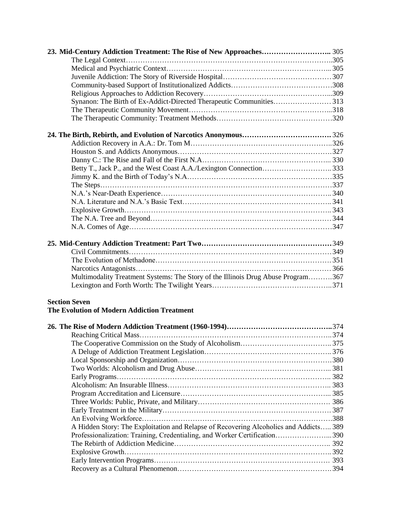| Synanon: The Birth of Ex-Addict-Directed Therapeutic Communities313              |  |
|----------------------------------------------------------------------------------|--|
|                                                                                  |  |
|                                                                                  |  |
|                                                                                  |  |
|                                                                                  |  |
|                                                                                  |  |
|                                                                                  |  |
|                                                                                  |  |
|                                                                                  |  |
|                                                                                  |  |
|                                                                                  |  |
|                                                                                  |  |
|                                                                                  |  |
|                                                                                  |  |
|                                                                                  |  |
|                                                                                  |  |
|                                                                                  |  |
|                                                                                  |  |
|                                                                                  |  |
| Multimodality Treatment Systems: The Story of the Illinois Drug Abuse Program367 |  |
|                                                                                  |  |
|                                                                                  |  |
| <b>Section Seven</b>                                                             |  |
| <b>The Evolution of Modern Addiction Treatment</b>                               |  |
|                                                                                  |  |
|                                                                                  |  |
|                                                                                  |  |
|                                                                                  |  |
|                                                                                  |  |
|                                                                                  |  |
|                                                                                  |  |
|                                                                                  |  |

Program Accreditation and Licensure……………………………………………………... 385 Three Worlds: Public, Private, and Military………………………………………………. 386 Early Treatment in the Military……………………………………………………………. 387 An Evolving Workforce…………………………………………………………………….388 A Hidden Story: The Exploitation and Relapse of Recovering Alcoholics and Addicts….. 389 Professionalization: Training, Credentialing, and Worker Certification…………………... 390 The Rebirth of Addiction Medicine……………………………………………………….. 392 Explosive Growth………………………………………………………………………….. 392 Early Intervention Programs………………………………………………………………. 393 Recovery as a Cultural Phenomenon………………………………………………………. 394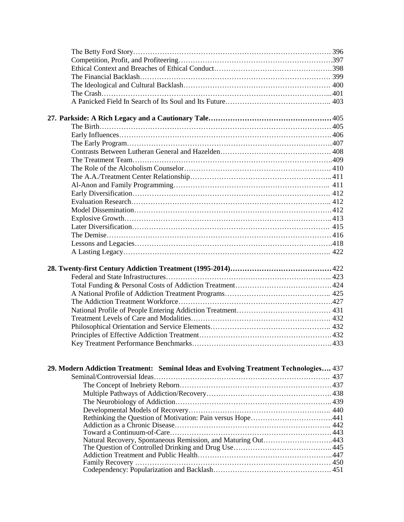| 29. Modern Addiction Treatment: Seminal Ideas and Evolving Treatment Technologies 437 |  |
|---------------------------------------------------------------------------------------|--|
|                                                                                       |  |
|                                                                                       |  |
|                                                                                       |  |
|                                                                                       |  |
|                                                                                       |  |
|                                                                                       |  |
|                                                                                       |  |
| Natural Recovery, Spontaneous Remission, and Maturing Out443                          |  |
|                                                                                       |  |
|                                                                                       |  |
|                                                                                       |  |